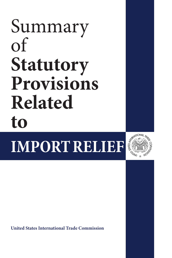# Summary of **Statutory Provisions Related to**

**IMPORT RELIEF**



**United States International Trade Commission**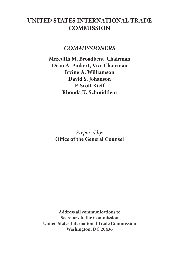## **UNITED STATES INTERNATIONAL TRADE COMMISSION**

#### *COMMISSIONERS*

**Meredith M. Broadbent, Chairman Dean A. Pinkert, Vice Chairman Irving A. Williamson David S. Johanson F. Scott Kieff Rhonda K. Schmidtlein**

*Prepared by:* **Office of the General Counsel** 

**Address all communications to Secretary to the Commission United States International Trade Commission Washington, DC 20436**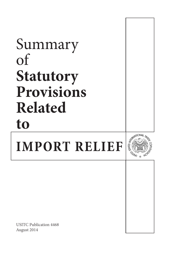## Summary of **Statutory Provisions Related toCONTROLLER IMPORT RELIEF CALINA**

USITC Publication 4468 August 2014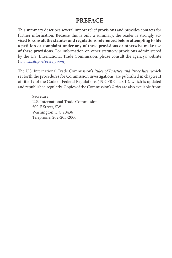### **PREFACE**

This summary describes several import relief provisions and provides contacts for further information. Because this is only a summary, the reader is strongly advised to **consult the statutes and regulations referenced before attempting to file a petition or complaint under any of these provisions or otherwise make use of these provisions.** For information on other statutory provisions administered by the U.S. International Trade Commission, please consult the agency's website (*www.usitc.gov/press\_room*).

The U.S. International Trade Commission's *Rules of Practice and Procedure*, which set forth the procedures for Commission investigations, are published in chapter II of title 19 of the Code of Federal Regulations (19 CFR Chap. II), which is updated and republished regularly. Copies of the Commission's *Rules* are also available from:

Secretary U.S. International Trade Commission 500 E Street, SW Washington, DC 20436 Telephone: 202-205-2000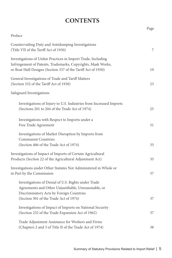## **CONTENTS**

|                                                                                                                                                                                                   | Page |
|---------------------------------------------------------------------------------------------------------------------------------------------------------------------------------------------------|------|
| Preface                                                                                                                                                                                           |      |
| Countervailing Duty and Antidumping Investigations<br>(Title VII of the Tariff Act of 1930)                                                                                                       | 7    |
| Investigations of Unfair Practices in Import Trade, Including<br>Infringement of Patents, Trademarks, Copyrights, Mask Works,<br>or Boat Hull Designs (Section 337 of the Tariff Act of 1930)     | 19   |
| General Investigations of Trade and Tariff Matters<br>(Section 332 of the Tariff Act of 1930)                                                                                                     | 23   |
| Safeguard Investigations                                                                                                                                                                          |      |
| Investigations of Injury to U.S. Industries from Increased Imports<br>(Sections 201 to 204 of the Trade Act of 1974)                                                                              | 25   |
| Investigations with Respect to Imports under a<br>Free Trade Agreement                                                                                                                            | 31   |
| Investigations of Market Disruption by Imports from<br><b>Communist Countries</b><br>(Section 406 of the Trade Act of 1974)                                                                       | 33   |
| Investigations of Impact of Imports of Certain Agricultural<br>Products (Section 22 of the Agricultural Adjustment Act)                                                                           | 35   |
| Investigations under Other Statutes Not Administered in Whole or<br>in Part by the Commission                                                                                                     | 37   |
| Investigations of Denial of U.S. Rights under Trade<br>Agreements and Other Unjustifiable, Unreasonable, or<br>Discriminatory Acts by Foreign Countries<br>(Section 301 of the Trade Act of 1974) | 37   |
| Investigations of Impact of Imports on National Security<br>(Section 232 of the Trade Expansion Act of 1962)                                                                                      | 37   |
| Trade Adjustment Assistance for Workers and Firms<br>(Chapters 2 and 3 of Title II of the Trade Act of 1974)                                                                                      | 38   |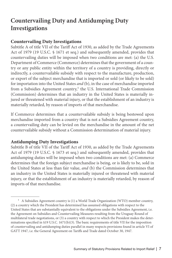## **Countervailing Duty and Antidumping Duty Investigations**

#### **Countervailing Duty Investigations**

Subtitle A of title VII of the Tariff Act of 1930, as added by the Trade Agreements Act of 1979 (19 U.S.C. § 1671 et seq.) and subsequently amended, provides that countervailing duties will be imposed when two conditions are met: (a) the U.S. Department of Commerce (Commerce) determines that the government of a country or any public entity within the territory of a country is providing, directly or indirectly, a countervailable subsidy with respect to the manufacture, production, or export of the subject merchandise that is imported or sold (or likely to be sold) for importation into the United States *and* (b), in the case of merchandise imported from a Subsidies Agreement country,<sup>1</sup> the U.S. International Trade Commission (Commission) determines that an industry in the United States is materially injured or threatened with material injury, or that the establishment of an industry is materially retarded, by reason of imports of that merchandise.

If Commerce determines that a countervailable subsidy is being bestowed upon merchandise imported from a country that is not a Subsidies Agreement country, a countervailing duty can be levied on the merchandise in the amount of the net countervailable subsidy without a Commission determination of material injury.

#### **Antidumping Duty Investigations**

Subtitle B of title VII of the Tariff Act of 1930, as added by the Trade Agreements Act of 1979 (19 U.S.C. § 1673 et seq.) and subsequently amended, provides that antidumping duties will be imposed when two conditions are met: (a) Commerce determines that the foreign subject merchandise is being, or is likely to be, sold in the United States at less than fair value, *and* (b) the Commission determines that an industry in the United States is materially injured or threatened with material injury, or that the establishment of an industry is materially retarded, by reason of imports of that merchandise.

<sup>&</sup>lt;sup>1</sup> A Subsidies Agreement country is (1) a World Trade Organization (WTO) member country, (2) a country which the President has determined has assumed obligations with respect to the United States that are substantially equivalent to the obligations under the Subsidies Agreement, i.e. the Agreement on Subsidies and Countervailing Measures resulting from the Uruguay Round of multilateral trade negotiations, or (3) a country with respect to which the President makes the determinations specified in §19 U.S.C*.* 1671(b)(3). The basic requirements of title VII for the imposition of countervailing and antidumping duties parallel in many respects provisions found in article VI of GATT 1947, i.e. the General Agreement on Tariffs and Trade dated October 30, 1947.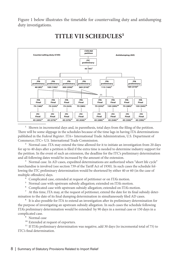Figure 1 below illustrates the timetable for countervailing duty and antidumping duty investigations.



## **TITLE VII SCHEDULES1**

1 Shown in incremental days and, in parenthesis, total days from the filing of the petition. There will be some slippage in the schedules because of the time lags in having ITA determinations published in the *Federal Register*. ITA= International Trade Administration, U.S*.* Department of Commerce; ITC= U.S*.* International Trade Commission.

<sup>2</sup> Normal case. ITA may extend the time allowed for it to initiate an investigation from 20 days for up to 40 days after a petition is filed if the extra time is needed to determine industry support for the petition. In the event of such an extension, the deadline for the ITC's preliminary determination and all following dates would be increased by the amount of the extension.

<sup>3</sup> Normal case. In AD cases, expedited determinations are authorized when "short life cycle" merchandise is involved (see section 739 of the Tariff Act of 1930). In such cases the schedule following the ITC preliminary determination would be shortened by either 40 or 60 (in the case of multiple offenders) days.

- 4 Complicated case, extended at request of petitioner or on ITA's motion.
- <sup>5</sup> Normal case with upstream subsidy allegation; extended on ITA's motion.

6 Complicated case with upstream subsidy allegation; extended on ITA's motion.

7 At this time, ITA may, at the request of petitioner, extend the date for its final subsidy determination to the date of its final dumping determination in simultaneously filed AD cases.

8 It is also possible for ITA to extend an investigation after its preliminary determination for the purpose of investigating an upstream subsidy allegation. In such cases the schedule following ITA's preliminary determination would be extended by 90 days in a normal case or 150 days in a complicated case.

9 Normal case

<sup>10</sup> Extended at request of exporters.

<sup>11</sup> If ITA's preliminary determination was negative, add 30 days (to incremental total of 75) to ITC's final determination.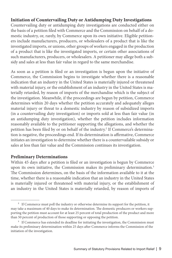#### **Initiation of Countervailing Duty or Antidumping Duty Investigations**

Countervailing duty or antidumping duty investigations are conducted either on the basis of a petition filed with Commerce and the Commission on behalf of a domestic industry, or, rarely, by Commerce upon its own initiative. Eligible petitioners include manufacturers, producers, or wholesalers of a product that is like the investigated imports, or unions, other groups of workers engaged in the production of a product that is like the investigated imports, or certain other associations of such manufacturers, producers, or wholesalers. A petitioner may allege both a subsidy and sales at less than fair value in regard to the same merchandise.

As soon as a petition is filed or an investigation is begun upon the initiative of Commerce, the Commission begins to investigate whether there is a reasonable indication that an industry in the United States is materially injured or threatened with material injury, or the establishment of an industry in the United States is materially retarded, by reason of imports of the merchandise which is the subject of the investigation. Meanwhile, if the proceedings are begun by petition, Commerce determines within 20 days whether the petition accurately and adequately alleges material injury or threat to a domestic industry by reason of subsidized imports (in a countervailing duty investigation) or imports sold at less than fair value (in an antidumping duty investigation), whether the petition includes information reasonably available to the petitioner supporting the allegations, and whether the petition has been filed by or on behalf of the industry.<sup>2</sup> If Commerce's determination is negative, the proceedings end. If its determination is affirmative, Commerce initiates an investigation to determine whether there is a countervailable subsidy or sales at less than fair value and the Commission continues its investigation.

#### **Preliminary Determinations**

Within 45 days after a petition is filed or an investigation is begun by Commerce upon its own initiative, the Commission makes its preliminary determination.<sup>3</sup> The Commission determines, on the basis of the information available to it at the time, whether there is a reasonable indication that an industry in the United States is materially injured or threatened with material injury, or the establishment of an industry in the United States is materially retarded, by reason of imports of

<sup>&</sup>lt;sup>2</sup> If Commerce must poll the industry or otherwise determine its support for the petition, it may take a maximum of 40 days to make its determination. The domestic producers or workers supporting the petition must account for at least 25 percent of total production of the product and more than 50 percent of production of those supporting or opposing the petition.

<sup>&</sup>lt;sup>3</sup> If Commerce has extended its deadline for initiating the investigation, the Commission must make its preliminary determination within 25 days after Commerce informs the Commission of the initiation of the investigation.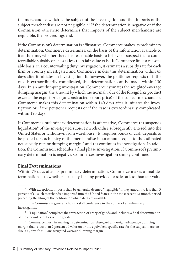the merchandise which is the subject of the investigation and that imports of the subject merchandise are not negligible.<sup>4,5</sup> If the determination is negative or if the Commission otherwise determines that imports of the subject merchandise are negligible, the proceedings end.

If the Commission's determination is affirmative, Commerce makes its preliminary determination. Commerce determines, on the basis of the information available to it at the time, whether there is a reasonable basis to believe or suspect that a countervailable subsidy or sales at less than fair value exist. If Commerce finds a reasonable basis, in a countervailing duty investigation, it estimates a subsidy rate for each firm or country investigated and Commerce makes this determination within 65 days after it initiates an investigation. If, however, the petitioner requests or if the case is extraordinarily complicated, this determination can be made within 130 days. In an antidumping investigation, Commerce estimates the weighted-average dumping margin, the amount by which the normal value of the foreign like product exceeds the export price (or constructed export price) of the subject merchandise. Commerce makes this determination within 140 days after it initiates the investigation or, if the petitioner requests or if the case is extraordinarily complicated, within 190 days.

If Commerce's preliminary determination is affirmative, Commerce (a) suspends liquidation<sup>6</sup> of the investigated subject merchandise subsequently entered into the United States or withdrawn from warehouse, (b) requires bonds or cash deposits to be posted for each entry of the merchandise in an amount equal to the estimated net subsidy rate or dumping margin, $^7$  and (c) continues its investigation. In addition, the Commission schedules a final phase investigation. If Commerce's preliminary determination is negative, Commerce's investigation simply continues.

#### **Final Determinations**

Within 75 days after its preliminary determination, Commerce makes a final determination as to whether a subsidy is being provided or sales at less than fair value

<sup>&</sup>lt;sup>4</sup> With exceptions, imports shall be generally deemed "negligible" if they amount to less than 3 percent of all such merchandise imported into the United States in the most recent 12-month period preceding the filing of the petition for which data are available.

<sup>&</sup>lt;sup>5</sup> The Commission generally holds a staff conference in the course of a preliminary investigation.

<sup>&</sup>lt;sup>6</sup> "Liquidation" completes the transaction of entry of goods and includes a final determination of the amount of duties on the goods.

<sup>7</sup> Commerce must, in making its determination, disregard any weighted-average dumping margin that is less than 2 percent ad valorem or the equivalent specific rate for the subject merchandise, i.e., any *de minimis* weighted-average dumping margin.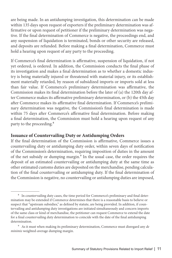are being made. In an antidumping investigation, this determination can be made within 135 days upon request of exporters if the preliminary determination was affirmative or upon request of petitioner if the preliminary determination was negative. If the final determination of Commerce is negative, the proceedings end, and any suspension of liquidation is terminated, bonds or other security are released, and deposits are refunded. Before making a final determination, Commerce must hold a hearing upon request of any party to the proceeding.

If Commerce's final determination is affirmative, suspension of liquidation, if not yet ordered, is ordered. In addition, the Commission conducts the final phase of its investigation and makes a final determination as to whether a domestic industry is being materially injured or threatened with material injury, or its establishment materially retarded, by reason of subsidized imports or imports sold at less than fair value. If Commerce's preliminary determination was affirmative, the Commission makes its final determination before the later of (a) the 120th day after Commerce makes its affirmative preliminary determination, or (b) the 45th day after Commerce makes its affirmative final determination. If Commerce's preliminary determination was negative, the Commission's final determination is made within 75 days after Commerce's affirmative final determination. Before making a final determination, the Commission must hold a hearing upon request of any party to the proceeding.<sup>8</sup>

#### **Issuance of Countervailing Duty or Antidumping Orders**

If the final determination of the Commission is affirmative, Commerce issues a countervailing duty or antidumping duty order, within seven days of notification of the Commission's determination, requiring imposition of duties in the amount of the net subsidy or dumping margin.<sup>9</sup> In the usual case, the order requires the deposit of an estimated countervailing or antidumping duty at the same time as other estimated customs duties are deposited on the merchandise, pending calculation of the final countervailing or antidumping duty. If the final determination of the Commission is negative, no countervailing or antidumping duties are imposed,

<sup>&</sup>lt;sup>8</sup> In countervailing duty cases, the time period for Commerce's preliminary and final determination may be extended if Commerce determines that there is a reasonable basis to believe or suspect that "upstream subsidies," as defined by statute, are being provided. In addition, if countervailing and antidumping duty investigations are initiated simultaneously and concern imports of the same class or kind of merchandise, the petitioner can request Commerce to extend the date for a final countervailing duty determination to coincide with the date of the final antidumping determination.

<sup>9</sup> As it must when making its preliminary determination, Commerce must disregard any *de minimis* weighted-average dumping margin.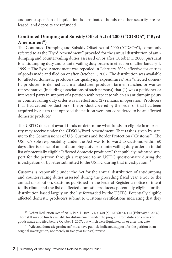and any suspension of liquidation is terminated, bonds or other security are released, and deposits are refunded

#### **Continued Dumping and Subsidy Offset Act of 2000 ("CDSOA") ("Byrd Amendment")**

The Continued Dumping and Subsidy Offset Act of 2000 ("CDSOA"), commonly referred to as the "Byrd Amendment," provided for the annual distribution of antidumping and countervailing duties assessed on or after October 1, 2000, pursuant to antidumping duty and countervailing duty orders in effect on or after January 1, 1999.<sup>10</sup> The Byrd Amendment was repealed in February 2006, effective for entries of goods made and filed on or after October 1, 2007. The distribution was available to "affected domestic producers for qualifying expenditures." An "affected domestic producer" is defined as a manufacturer, producer, farmer, rancher, or worker representative (including associations of such persons) that (1) was a petitioner or interested party in support of a petition with respect to which an antidumping duty or countervailing duty order was in effect and (2) remains in operation. Producers that had ceased production of the product covered by the order or that had been acquired by a firm that opposed the petition were not considered to be an affected domestic producer.

The USITC does not award funds or determine what funds an eligible firm or entity may receive under the CDSOA/Byrd Amendment. That task is given by statute to the Commissioner of U.S. Customs and Border Protection ("Customs"). The USITC's sole responsibility under the Act was to forward to Customs within 60 days after issuance of an antidumping duty or countervailing duty order an initial list of potentially eligible "affected domestic producers" that publicly indicated support for the petition through a response to an USITC questionnaire during the investigation or by letter submitted to the USITC during that investigation.<sup>11</sup>

Customs is responsible under the Act for the annual distribution of antidumping and countervailing duties assessed during the preceding fiscal year. Prior to the annual distribution, Customs published in the Federal Register a notice of intent to distribute and the list of affected domestic producers potentially eligible for the distribution based largely on the list forwarded by the USITC. Potentially eligible affected domestic producers submit to Customs certifications indicating that they

<sup>&</sup>lt;sup>10</sup> Deficit Reduction Act of 2005, Pub. L. 109-171, §7601(b), 120 Stat.4, 154 (February 8, 2006). There still may be funds available for disbursement under the program from duties on entries of goods made and filed before October 1, 2007, but which were liquidated on or after that date.

 $11$  "Affected domestic producers" must have publicly indicated support for the petition in an original investigation, not merely in five-year (sunset) review.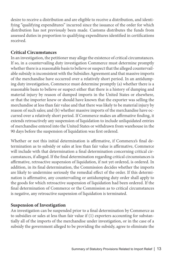desire to receive a distribution and are eligible to receive a distribution, and identifying "qualifying expenditures" incurred since the issuance of the order for which distribution has not previously been made. Customs distributes the funds from assessed duties in proportion to qualifying expenditures identified in certifications received.

#### **Critical Circumstances**

In an investigation, the petitioner may allege the existence of critical circumstances. If so, in a countervailing duty investigation Commerce must determine promptly whether there is a reasonable basis to believe or suspect that the alleged countervailable subsidy is inconsistent with the Subsidies Agreement and that massive imports of the merchandise have occurred over a relatively short period. In an antidumping duty investigation, Commerce must determine promptly (a) whether there is a reasonable basis to believe or suspect either that there is a history of dumping and material injury by reason of dumped imports in the United States or elsewhere, or that the importer knew or should have known that the exporter was selling the merchandise at less than fair value and that there was likely to be material injury by reason of such sales; and (b) whether massive imports of the merchandise have occurred over a relatively short period. If Commerce makes an affirmative finding, it extends retroactively any suspension of liquidation to include unliquidated entries of merchandise entered into the United States or withdrawn from warehouse in the 90 days before the suspension of liquidation was first ordered.

Whether or not this initial determination is affirmative, if Commerce's final determination as to subsidy or sales at less than fair value is affirmative, Commerce will include with that determination a final determination concerning critical circumstances, if alleged. If the final determination regarding critical circumstances is affirmative, retroactive suspension of liquidation, if not yet ordered, is ordered. In addition, in its final determination, the Commission decides whether the imports are likely to undermine seriously the remedial effect of the order. If this determination is affirmative, any countervailing or antidumping duty order shall apply to the goods for which retroactive suspension of liquidation had been ordered. If the final determination of Commerce or the Commission as to critical circumstances is negative, any retroactive suspension of liquidation is terminated.

#### **Suspension of Investigation**

An investigation can be suspended prior to a final determination by Commerce as to subsidies or sales at less than fair value if (1) exporters accounting for substantially all of the imports of the merchandise under investigation, or in the case of a subsidy the government alleged to be providing the subsidy, agree to eliminate the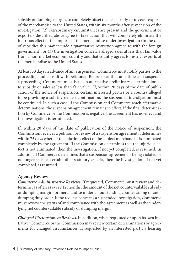subsidy or dumping margin, to completely offset the net subsidy, or to cease exports of the merchandise to the United States, within six months after suspension of the investigation; (2) extraordinary circumstances are present and the government or exporters described above agree to take action that will completely eliminate the injurious effect of the imports of the merchandise under investigation (in the case of subsidies this may include a quantitative restriction agreed to with the foreign government); or (3) the investigation concerns alleged sales at less than fair value from a non-market economy country and that country agrees to restrict exports of the merchandise to the United States.

At least 30 days in advance of any suspension, Commerce must notify parties to the proceeding and consult with petitioner. Before or at the same time as it suspends a proceeding, Commerce must issue an affirmative preliminary determination as to subsidy or sales at less than fair value. If, within 20 days of the date of publication of the notice of suspension, certain interested parties or a country alleged to be providing a subsidy request continuation, the suspended investigation must be continued. In such a case, if the Commission and Commerce reach affirmative determinations, the suspension agreement remains in effect. If the final determination by Commerce or the Commission is negative, the agreement has no effect and the investigation is terminated.

If, within 20 days of the date of publication of the notice of suspension, the Commission receives a petition for review of a suspension agreement it determines within 75 days whether the injurious effect of the subject merchandise is eliminated completely by the agreement. If the Commission determines that the injurious effect is not eliminated, then the investigation, if not yet completed, is resumed. In addition, if Commerce determines that a suspension agreement is being violated or no longer satisfies certain other statutory criteria, then the investigation, if not yet completed, is resumed.

#### **Agency Review**

*Commerce Administrative Reviews*. If requested, Commerce must review and determine, as often as every 12 months, the amount of the net countervailable subsidy or dumping margin for merchandise under an outstanding countervailing or antidumping duty order. If the request concerns a suspended investigation, Commerce must review the status of and compliance with the agreement as well as the underlying net countervailable subsidy or dumping margin.

*Changed Circumstances Reviews.* In addition, when requested or upon its own initiative, Commerce or the Commission may review certain determinations or agreements for changed circumstances. If requested by an interested party, a hearing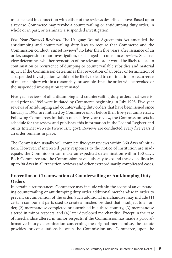must be held in connection with either of the reviews described above. Based upon a review, Commerce may revoke a countervailing or antidumping duty order, in whole or in part, or terminate a suspended investigation.

*Five-Year (Sunset) Reviews.* The Uruguay Round Agreements Act amended the antidumping and countervailing duty laws to require that Commerce and the Commission conduct "sunset reviews" no later than five years after issuance of an order, suspension of an investigation, or changed circumstances review. Such review determines whether revocation of the relevant order would be likely to lead to continuation or recurrence of dumping or countervailable subsidies and material injury. If the Commission determines that revocation of an order or termination of a suspended investigation would not be likely to lead to continuation or recurrence of material injury within a reasonably foreseeable time, the order will be revoked or the suspended investigation terminated.

Five-year reviews of all antidumping and countervailing duty orders that were issued prior to 1995 were initiated by Commerce beginning in July 1998. Five-year reviews of antidumping and countervailing duty orders that have been issued since January 1, 1995, are initiated by Commerce on or before their five-year anniversary. Following Commerce's initiation of each five-year review, the Commission sets its schedule for the review and publishes this information in the Federal Register and on its Internet web site (www.usitc.gov). Reviews are conducted every five years if an order remains in place.

The Commission usually will complete five-year reviews within 360 days of initiation. However, if interested party responses to the notice of institution are inadequate, the Commission can make an expedited determination within 150 days. Both Commerce and the Commission have authority to extend these deadlines by up to 90 days in all transition reviews and other extraordinarily complicated cases.

#### **Prevention of Circumvention of Countervailing or Antidumping Duty Orders**

In certain circumstances, Commerce may include within the scope of an outstanding countervailing or antidumping duty order additional merchandise in order to prevent circumvention of the order. Such additional merchandise may include (1) certain component parts used to create a finished product that is subject to an order, (2) merchandise completed or assembled in a third country, (3) merchandise altered in minor respects, and (4) later developed merchandise. Except in the case of merchandise altered in minor respects, if the Commission has made a prior affirmative injury determination concerning the original merchandise, the statute provides for consultations between the Commission and Commerce, upon the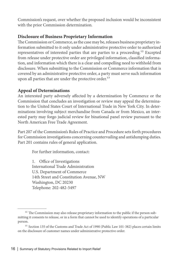Commission's request, over whether the proposed inclusion would be inconsistent with the prior Commission determination.

#### **Disclosure of Business Proprietary Information**

The Commission or Commerce, as the case may be, releases business proprietary information submitted to it only under administrative protective order to authorized representatives of interested parties that are parties to a proceeding.12 Excepted from release under protective order are privileged information, classified information, and information which there is a clear and compelling need to withhold from disclosure. When submitting to the Commission or Commerce information that is covered by an administrative protective order, a party must serve such information upon all parties that are under the protective order.<sup>13</sup>

#### **Appeal of Determinations**

An interested party adversely affected by a determination by Commerce or the Commission that concludes an investigation or review may appeal the determination to the United States Court of International Trade in New York City. In determinations involving subject merchandise from Canada or from Mexico, an interested party may forgo judicial review for binational panel review pursuant to the North American Free Trade Agreement.

Part 207 of the Commission's Rules of Practice and Procedure sets forth procedures for Commission investigations concerning countervailing and antidumping duties. Part 201 contains rules of general application.

For further information, contact:

1. Office of Investigations International Trade Administration U.S. Department of Commerce 14th Street and Constitution Avenue, NW Washington, DC 20230 Telephone: 202-482-5497

<sup>&</sup>lt;sup>12</sup> The Commission may also release proprietary information to the public if the person submitting it consents to release, or in a form that cannot be used to identify operations of a particular person.

<sup>&</sup>lt;sup>13</sup> Section 135 of the Customs and Trade Act of 1990 (Public Law 101-382) places certain limits on the disclosure of customer names under administrative protective order.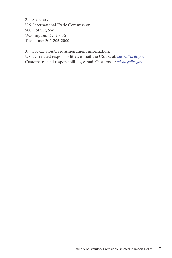2. Secretary U.S. International Trade Commission 500 E Street, SW Washington, DC 20436 Telephone: 202-205-2000

3. For CDSOA/Byrd Amendment information: USITC-related responsibilities, e-mail the USITC at: *cdsoa@usitc.gov* Customs-related responsibilities, e-mail Customs at: *cdsoa@dhs.gov*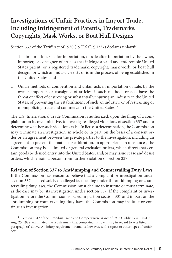## **Investigations of Unfair Practices in Import Trade, Including Infringement of Patents, Trademarks, Copyrights, Mask Works, or Boat Hull Designs**

Section 337 of the Tariff Act of 1930 (19 U.S.C. § 1337) declares unlawful:

- a. The importation, sale for importation, or sale after importation by the owner, importer, or consignee of articles that infringe a valid and enforceable United States patent, or a registered trademark, copyright, mask work, or boat hull design, for which an industry exists or is in the process of being established in the United States, and
- a. Unfair methods of competition and unfair acts in importation or sale, by the owner, importer, or consignee of articles, if such methods or acts have the threat or effect of destroying or substantially injuring an industry in the United States, of preventing the establishment of such an industry, or of restraining or monopolizing trade and commerce in the United States.14

The U.S. International Trade Commission is authorized, upon the filing of a complaint or on its own initiative, to investigate alleged violations of section 337 and to determine whether such violations exist. In lieu of a determination, the Commission may terminate an investigation, in whole or in part, on the basis of a consent order or an agreement between the private parties to the investigation, including an agreement to present the matter for arbitration. In appropriate circumstances, the Commission may issue limited or general exclusion orders, which direct that certain goods be denied entry into the United States, and/or may issue cease and desist orders, which enjoin a person from further violation of section 337.

**Relation of Section 337 to Antidumping and Countervailing Duty Laws**

If the Commission has reason to believe that a complaint or investigation under section 337 is based solely on alleged facts falling under the antidumping or countervailing duty laws, the Commission must decline to institute or must terminate, as the case may be, its investigation under section 337. If the complaint or investigation before the Commission is based in part on section 337 and in part on the antidumping or countervailing duty laws, the Commission may institute or continue an investigation.

<sup>&</sup>lt;sup>14</sup> Section 1342 of the Omnibus Trade and Competitiveness Act of 1988 (Public Law 100-418; Aug. 23, 1988) eliminated the requirement that complainant show injury in regard to acts listed in paragraph (a) above. An injury requirement remains, however, with respect to other types of unfair acts.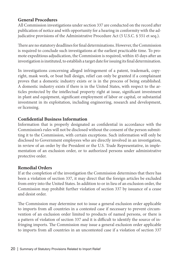#### **General Procedures**

All Commission investigations under section 337 are conducted on the record after publication of notice and with opportunity for a hearing in conformity with the adjudicative provisions of the Administrative Procedure Act (5 U.S.C. § 551 et seq.).

There are no statutory deadlines for final determinations. However, the Commission is required to conclude such investigations at the earliest practicable time. To promote expeditious adjudication, the Commission is required, within 45 days after an investigation is instituted, to establish a target date for issuing its final determination.

In investigations concerning alleged infringement of a patent, trademark, copyright, mask work, or boat hull design, relief can only be granted if a complainant proves that a domestic industry exists or is in the process of being established. A domestic industry exists if there is in the United States, with respect to the articles protected by the intellectual property right at issue, significant investment in plant and equipment, significant employment of labor or capital, or substantial investment in its exploitation, including engineering, research and development, or licensing.

#### **Confidential Business Information**

Information that is properly designated as confidential in accordance with the Commission's rules will not be disclosed without the consent of the person submitting it to the Commission, with certain exceptions. Such information will only be disclosed to Government employees who are directly involved in an investigation, in review of an order by the President or the U.S. Trade Representative, in implementation of an exclusion order, or to authorized persons under administrative protective order.

#### **Remedial Orders**

If at the completion of the investigation the Commission determines that there has been a violation of section 337, it may direct that the foreign articles be excluded from entry into the United States. In addition to or in lieu of an exclusion order, the Commission may prohibit further violation of section 337 by issuance of a cease and desist order.

The Commission may determine not to issue a general exclusion order applicable to imports from all countries in a contested case if necessary to prevent circumvention of an exclusion order limited to products of named persons, or there is a pattern of violation of section 337 and it is difficult to identify the source of infringing imports. The Commission may issue a general exclusion order applicable to imports from all countries in an uncontested case if a violation of section 337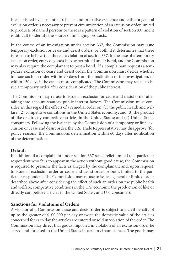is established by substantial, reliable, and probative evidence and either a general exclusion order is necessary to prevent circumvention of an exclusion order limited to products of named persons or there is a pattern of violation of section 337 and it is difficult to identify the source of infringing products.

In the course of an investigation under section 337, the Commission may issue temporary exclusion or cease and desist orders, or both, if it determines that there is reason to believe that there is a violation of section 337. In the case of a temporary exclusion order, entry of goods is to be permitted under bond, and the Commission may also require the complainant to post a bond. If a complainant requests a temporary exclusion or cease and desist order, the Commission must decide whether to issue such an order within 90 days from the institution of the investigation, or within 150 days if the case is more complicated. The Commission may refuse to issue a temporary order after consideration of the public interest.

The Commission may refuse to issue an exclusion or cease and desist order after taking into account stautory public interest factors. The Commission must consider in this regard the effects of a remedial order on: (1) the public health and welfare; (2) competitive conditions in the United States economy; and (3) the product of like or directly competitive articles in the United States; and (4) United States consumers. Following the issuance by the Commission of a temporary or final exclusion or cease and desist order, the U.S. Trade Representative may disapprove "for policy reasons" the Commission's determination within 60 days after notification of the determination.

#### **Default**

In addition, if a complainant under section 337 seeks relief limited to a particular respondent who fails to appear in the action without good cause, the Commission is required to presume the facts as alleged by the complainant and, upon request, to issue an exclusion order or cease and desist order or both, limited to the particular respondent. The Commission may refuse to issue a general or limited order described above after considering the effect of such an order on the public health and welfare, competitive conditions in the U.S. economy, the production of like or directly competitive articles in the United States, and U.S. consumers.

#### **Sanctions for Violations of Orders**

A violator of a Commission cease and desist order is subject to a civil penalty of up to the greater of \$100,000 per day or twice the domestic value of the articles concerned for each day the articles are entered or sold in violation of the order. The Commission may direct that goods imported in violation of an exclusion order be seized and forfeited to the United States in certain circumstances. The goods may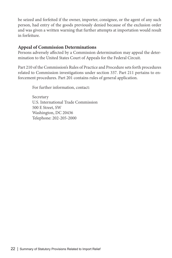be seized and forfeited if the owner, importer, consignee, or the agent of any such person, had entry of the goods previously denied because of the exclusion order and was given a written warning that further attempts at importation would result in forfeiture.

#### **Appeal of Commission Determinations**

Persons adversely affected by a Commission determination may appeal the determination to the United States Court of Appeals for the Federal Circuit.

Part 210 of the Commission's Rules of Practice and Procedure sets forth procedures related to Commission investigations under section 337. Part 211 pertains to enforcement procedures. Part 201 contains rules of general application.

For further information, contact:

Secretary U.S. International Trade Commission 500 E Street, SW Washington, DC 20436 Telephone: 202-205-2000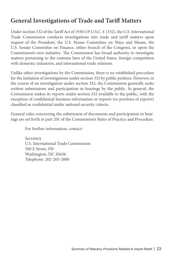## **General Investigations of Trade and Tariff Matters**

Under section 332 of the Tariff Act of 1930 (19 U.S.C. § 1332), the U.S. International Trade Commission conducts investigations into trade and tariff matters upon request of the President, the U.S. House Committee on Ways and Means, the U.S. Senate Committee on Finance, either branch of the Congress, or upon the Commission's own initiative. The Commission has broad authority to investigate matters pertaining to the customs laws of the United States, foreign competition with domestic industries, and international trade relations.

Unlike other investigations by the Commission, there is no established procedure for the initiation of investigations under section 332 by public petition. However, in the course of an investigation under section 332, the Commission generally seeks written submissions and participation in hearings by the public. In general, the Commission makes its reports under section 332 available to the public, with the exception of confidential business information or reports (or portions of reports) classified as confidential under national security criteria.

General rules concerning the submission of documents and participation in hearings are set forth in part 201 of the Commission's Rules of Practice and Procedure.

For further information, contact:

Secretary U.S. International Trade Commission 500 E Street, SW Washington, DC 20436 Telephone: 202-205-2000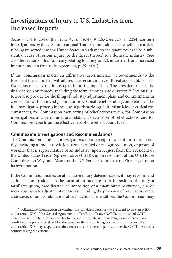## **Investigations of Injury to U.S. Industries from Increased Imports**

Sections 201 to 204 of the Trade Act of 1974 (19 U.S.C. §§ 2251 to 2254) concern investigations by the U.S. International Trade Commission as to whether an article is being imported into the United States in such increased quantities as to be a substantial cause of serious injury, or the threat thereof, to a domestic industry. (See also the section of this Summary relating to injury to U.S. industries from increased imports under a free trade agreement, p. 29 infra.)

If the Commission makes an affirmative determination, it recommends to the President the action that will address the serious injury or threat and facilitate positive adjustment by the industry to import competition. The President makes the final decision on remedy, including the form, amount, and duration.<sup>15</sup> Sections 201 to 204 also provide for the filing of industry adjustment plans and commitments in connection with an investigation, for provisional relief pending completion of the full investigative process in the case of perishable agricultural articles or critical circumstances, for Commission monitoring of relief actions taken, for Commission investigations and determinations relating to extension of relief actions, and for Commission reports on the effectiveness of the relief actions taken.

#### **Commission Investigations and Recommendations**

The Commission conducts investigations upon receipt of a petition from an entity, including a trade association, firm, certified or recognized union, or group of workers, that is representative of an industry; upon request from the President or the United States Trade Representative (USTR); upon resolution of the U.S. House Committee on Ways and Means or the U.S. Senate Committee on Finance; or upon its own motion.

If the Commission makes an affirmative injury determination, it may recommend action to the President in the form of an increase in or imposition of a duty, a tariff-rate quota, modification or imposition of a quantitative restriction, one or more appropriate adjustment measures including the provision of trade adjustment assistance, or any combination of such actions. In addition, the Commission may

<sup>&</sup>lt;sup>15</sup> Affirmative Commission determinations provide a basis for the President to take an action under article XIX of the General Agreement on Tariffs and Trade (GATT), the so-called GATT escape clause, which permits a country to "escape" from international obligations when certain conditions are present. Article XIX also provides that countries against whom actions are taken under article XIX may suspend certain concessions or other obligations under the GATT toward the country taking the actions.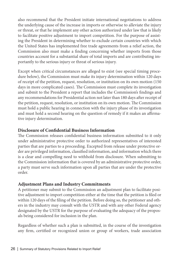also recommend that the President initiate international negotiations to address the underlying cause of the increase in imports or otherwise to alleviate the injury or threat, or that he implement any other action authorized under law that is likely to facilitate positive adjustment to import competition. For the purpose of assisting the President in determining whether to exclude certain countries with which the United States has implemented free trade agreements from a relief action, the Commission also must make a finding concerning whether imports from those countries account for a substantial share of total imports and are contributing importantly to the serious injury or threat of serious injury.

Except when critical circumstances are alleged to exist (see special timing procedure below), the Commission must make its injury determination within 120 days of receipt of the petition, request, resolution, or institution on its own motion (150 days in more complicated cases). The Commission must complete its investigation and submit to the President a report that includes the Commission's findings and any recommendations for Presidential action not later than 180 days after receipt of the petition, request, resolution, or institution on its own motion. The Commission must hold a public hearing in connection with the injury phase of its investigation and must hold a second hearing on the question of remedy if it makes an affirmative injury determination.

#### **Disclosure of Confidential Business Information**

The Commission releases confidential business information submitted to it only under administrative protective order to authorized representatives of interested parties that are parties to a proceeding. Excepted from release under protective order are privileged information, classified information, and information which there is a clear and compelling need to withhold from disclosure. When submitting to the Commission information that is covered by an administrative protective order, a party must serve such information upon all parties that are under the protective order.

#### **Adjustment Plans and Industry Commitments**

A petitioner may submit to the Commission an adjustment plan to facilitate positive adjustment to import competition either at the time that the petition is filed or within 120 days of the filing of the petition. Before doing so, the petitioner and others in the industry may consult with the USTR and with any other Federal agency designated by the USTR for the purpose of evaluating the adequacy of the proposals being considered for inclusion in the plan.

Regardless of whether such a plan is submitted, in the course of the investigation any firm, certified or recognized union or group of workers, trade association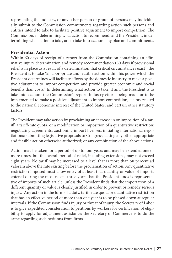representing the industry, or any other person or group of persons may individually submit to the Commission commitments regarding action such persons and entities intend to take to facilitate positive adjustment to import competition. The Commission, in determining what action to recommend, and the President, in determining what action to take, are to take into account any plan and commitments.

#### **Presidential Action**

Within 60 days of receipt of a report from the Commission containing an affirmative injury determination and remedy recommendation (50 days if provisional relief is in place as a result of a determination that critical circumstances exist), the President is to take "all appropriate and feasible action within his power which the President determines will facilitate efforts by the domestic industry to make a positive adjustment to import competition and provide greater economic and social benefits than costs." In determining what action to take, if any, the President is to take into account the Commission's report, industry efforts being made or to be implemented to make a positive adjustment to import competition, factors related to the national economic interest of the United States, and certain other statutory factors.

The President may take action by proclaiming an increase in or imposition of a tariff, a tariff-rate quota, or a modification or imposition of a quantitative restriction; negotiating agreements; auctioning import licenses; initiating international negotiations; submitting legislative proposals to Congress; taking any other appropriate and feasible action otherwise authorized; or any combination of the above actions.

Action may be taken for a period of up to four years and may be extended one or more times, but the overall period of relief, including extensions, may not exceed eight years. No tariff may be increased to a level that is more than 50 percent ad valorem above the rate existing before the proclamation of action. Any quantitative restriction imposed must allow entry of at least that quantity or value of imports entered during the most recent three years that the President finds is representative of imports of such article, unless the President finds that the importation of a different quantity or value is clearly justified in order to prevent or remedy serious injury. Any action in the form of a duty, tariff-rate quota or quantitative restriction that has an effective period of more than one year is to be phased down at regular intervals. If the Commission finds injury or threat of injury, the Secretary of Labor is to give expedited consideration to petitions by workers for certification of eligibility to apply for adjustment assistance; the Secretary of Commerce is to do the same regarding such petitions from firms.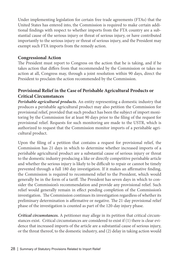Under implementing legislation for certain free trade agreements (FTAs) that the United States has entered into, the Commission is required to make certain additional findings with respect to whether imports from the FTA country are a substantial cause of the serious injury or threat of serious injury, or have contributed importantly to the serious injury or threat of serious injury, and the President may exempt such FTA imports from the remedy action.

#### **Congressional Action**

The President must report to Congress on the action that he is taking, and if he takes action that differs from that recommended by the Commission or takes no action at all, Congress may, through a joint resolution within 90 days, direct the President to proclaim the action recommended by the Commission.

#### **Provisional Relief in the Case of Perishable Agricultural Products or Critical Circumstances**

*Perishable agricultural products.* An entity representing a domestic industry that produces a perishable agricultural product may also petition the Commission for provisional relief, provided that such product has been the subject of import monitoring by the Commission for at least 90 days prior to the filing of the request for provisional relief. Requests for such monitoring are made to the USTR, which is authorized to request that the Commission monitor imports of a perishable agricultural product.

Upon the filing of a petition that contains a request for provisional relief, the Commission has 21 days in which to determine whether increased imports of a perishable agricultural product are a substantial cause of serious injury or threat to the domestic industry producing a like or directly competitive perishable article and whether the serious injury is likely to be difficult to repair or cannot be timely prevented through a full 180 day investigation. If it makes an affirmative finding, the Commission is required to recommend relief to the President, which would generally be in the form of a tariff. The President has seven days in which to consider the Commission's recommendation and provide any provisional relief. Such relief would generally remain in effect pending completion of the Commission's investigation. The Commission continues its investigation regardless of whether its preliminary determination is affirmative or negative. The 21-day provisional relief phase of the investigation is counted as part of the 120-day injury phase.

*Critical circumstances.* A petitioner may allege in its petition that critical circumstances exist. Critical circumstances are considered to exist if (1) there is clear evidence that increased imports of the article are a substantial cause of serious injury, or the threat thereof, to the domestic industry, and (2) delay in taking action would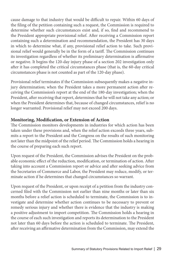cause damage to that industry that would be difficult to repair. Within 60 days of the filing of the petition containing such a request, the Commission is required to determine whether such circumstances exist and, if so, find and recommend to the President appropriate provisional relief. After receiving a Commission report containing such a determination and recommendation, the President has 30 days in which to determine what, if any, provisional relief action to take. Such provisional relief would generally be in the form of a tariff. The Commission continues its investigation regardless of whether its preliminary determination is affirmative or negative. It begins the 120-day injury phase of a section 202 investigation only after it has completed the critical circumstances phase (that is, the 60-day critical circumstances phase is not counted as part of the 120-day phase).

Provisional relief terminates if the Commission subsequently makes a negative injury determination; when the President takes a more permanent action after receiving the Commission's report at the end of the 180-day investigation; when the President, after receiving that report, determines that he will not take any action; or when the President determines that, because of changed circumstances, relief is no longer warranted. Provisional relief may not exceed 200 days.

#### **Monitoring, Modification, or Extension of Action**

The Commission monitors developments in industries for which action has been taken under these provisions and, when the relief action exceeds three years, submits a report to the President and the Congress on the results of such monitoring not later than the midpoint of the relief period. The Commission holds a hearing in the course of preparing each such report.

Upon request of the President, the Commission advises the President on the probable economic effect of the reduction, modification, or termination of action. After taking into account a Commission report or advice and after seeking advice from the Secretaries of Commerce and Labor, the President may reduce, modify, or terminate action if he determines that changed circumstances so warrant.

Upon request of the President, or upon receipt of a petition from the industry concerned filed with the Commission not earlier than nine months or later than six months before a relief action is scheduled to terminate, the Commission is to investigate and determine whether action continues to be necessary to prevent or remedy serious injury and whether there is evidence that the industry is making a positive adjustment to import competition. The Commission holds a hearing in the course of each such investigation and reports its determination to the President not later than 60 days before the action is scheduled to terminate. The President, after receiving an affirmative determination from the Commission, may extend the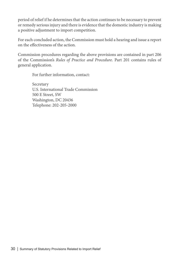period of relief if he determines that the action continues to be necessary to prevent or remedy serious injury and there is evidence that the domestic industry is making a positive adjustment to import competition.

For each concluded action, the Commission must hold a hearing and issue a report on the effectiveness of the action.

Commission procedures regarding the above provisions are contained in part 206 of the Commission's *Rules of Practice and Procedure*. Part 201 contains rules of general application.

For further information, contact:

Secretary U.S. International Trade Commission 500 E Street, SW Washington, DC 20436 Telephone: 202-205-2000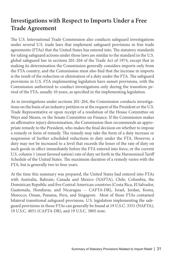## **Investigations with Respect to Imports Under a Free Trade Agreement**

The U.S. International Trade Commission also conducts safeguard investigations under several U.S. trade laws that implement safeguard provisions in free trade agreements (FTAs) that the United States has entered into. The statutory standards for taking safeguard actions under those laws are similar to the standard in the U.S. global safeguard law in sections 201-204 of the Trade Act of 1974, except that in making its determination the Commission generally considers imports only from the FTA country, and the Commission must also find that the increase in imports is the result of the reduction or elimination of a duty under the FTA. The safeguard provisions in U.S. FTA implementing legislation have sunset provisions, with the Commission authorized to conduct investigations only during the transition period of the FTA, usually 10 years, as specified in the implementing legislation.

As in investigations under sections 201-204, the Commission conducts investigations on the basis of an industry petition or at the request of the President or the U.S. Trade Representative or upon receipt of a resolution of the House Committee on Ways and Means, or the Senate Committee on Finance. If the Commission makes an affirmative injury determination, the Commission then recommends an appropriate remedy to the President, who makes the final decision on whether to impose a remedy or form of remedy. The remedy may take the form of a duty increase or suspension of further scheduled reductions in duty under the FTA. However, a duty may not be increased to a level that exceeds the lesser of the rate of duty on such goods in effect immediately before the FTA entered into force, or the current U.S. column 1 (most favored nation) rate of duty set forth in the Harmonized Tariff Schedule of the United States. The maximum duration of a remedy varies with the FTA, but is generally two to four years.

At the time this summary was prepared, the United States had entered into FTAs with Australia, Bahrain, Canada and Mexico (NAFTA), Chile, Colombia, the Dominican Republic and five Central American countries (Costa Rica, El Salvador, Guatemala, Honduras, and Nicaragua -- CAFTA-DR), Israel, Jordan, Korea, Morocco, Oman, Panama, Peru, and Singapore. Most of those FTAs contained bilateral transitional safeguard provisions. U.S. legislation implementing the safeguard provisions in those FTAs can generally be found at 19 U.S.C. 3351 (NAFTA), 19 U.S.C. 4051 (CAFTA-DR), and 19 U.S.C. 3805 note.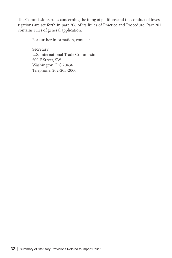The Commission's rules concerning the filing of petitions and the conduct of investigations are set forth in part 206 of its Rules of Practice and Procedure. Part 201 contains rules of general application.

For further information, contact:

Secretary U.S. International Trade Commission 500 E Street, SW Washington, DC 20436 Telephone: 202-205-2000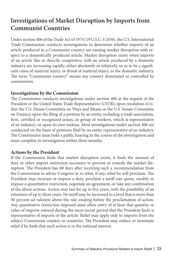## **Investigations of Market Disruption by Imports from Communist Countries**

Under section 406 of the Trade Act of 1974 (19 U.S.C. § 2436), the U.S. International Trade Commission conducts investigations to determine whether imports of an article produced in a Communist country are causing market disruption with respect to a domestically produced article. Market disruption exists when imports of an article like or directly competitive with an article produced by a domestic industry are increasing rapidly, either absolutely or relatively, so as to be a significant cause of material injury, or threat of material injury, to the domestic industry. The term "Communist country" means any country dominated or controlled by communism.

#### **Investigations by the Commission**

The Commission conducts investigations under section 406 at the request of the President or the United States Trade Representative (USTR); upon resolution of either the U.S. House Committee on Ways and Means or the U.S. Senate Committee on Finance; upon the filing of a petition by an entity, including a trade association, firm, certified or recognized union, or group of workers, which is representative of an industry; or upon its own motion. Most investigations under section 406 are conducted on the basis of petitions filed by an entity representative of an industry. The Commission must hold a public hearing in the course of the investigation and must complete its investigation within three months.

#### **Actions by the President**

If the Commission finds that market disruption exists, it finds the amount of duty or other import restriction necessary to prevent or remedy the market disruption. The President has 60 days after receiving such a recommendation from the Commission to advise Congress as to what, if any, relief he will proclaim. The President may increase or impose a duty, proclaim a tariff-rate quota, modify or impose a quantitative restriction, negotiate an agreement, or take any combination of the above actions. Action may last for up to five years, with the possibility of an extension of up to three years. No tariff may be increased to a level that is more than 50 percent ad valorem above the rate existing before the proclamation of action. Any quantitative restriction imposed must allow entry of at least that quantity or value of imports entered during the most recent period that the President finds is representative of imports of the article. Relief may apply only to imports from the subject Communist country or countries. The President may reduce or terminate relief if he finds that such action is in the national interest.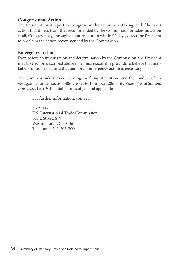#### **Congressional Action**

The President must report to Congress on the action he is taking, and if he takes action that differs from that recommended by the Commission or takes no action at all, Congress may, through a joint resolution within 90 days, direct the President to proclaim the action recommended by the Commission.

#### **Emergency Action**

Even before an investigation and determination by the Commission, the President may take action described above if he finds reasonable grounds to believe that market disruption exists and that temporary emergency action is necessary.

The Commission's rules concerning the filing of petitions and the conduct of investigations under section 406 are set forth in part 206 of its *Rules of Practice and Procedure*. Part 201 contains rules of general application.

For further information, contact:

Secretary U.S. International Trade Commission 500 E Street, SW Washington, DC 20436 Telephone: 202-205-2000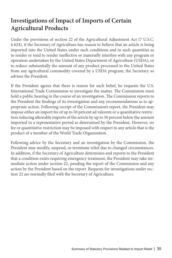## **Investigations of Impact of Imports of Certain Agricultural Products**

Under the provisions of section 22 of the Agricultural Adjustment Act (7 U.S.C. § 624), if the Secretary of Agriculture has reason to believe that an article is being imported into the United States under such conditions and in such quantities as to render or tend to render ineffective or materially interfere with any program or operation undertaken by the United States Department of Agriculture (USDA), or to reduce substantially the amount of any product processed in the United States from any agricultural commodity covered by a USDA program, the Secretary so advises the President.

If the President agrees that there is reason for such belief, he requests the U.S. International Trade Commission to investigate the matter. The Commission must hold a public hearing in the course of an investigation. The Commission reports to the President the findings of its investigation and any recommendations as to appropriate action. Following receipt of the Commission's report, the President may impose either an import fee of up to 50 percent ad valorem or a quantitative restriction reducing allowable imports of the article by up to 50 percent below the amount imported in a representative period as determined by the President. However, no fee or quantitative restriction may be imposed with respect to any article that is the product of a member of the World Trade Organization.

Following advice by the Secretary and an investigation by the Commission, the President may modify, suspend, or terminate relief due to changed circumstances. In addition, if the Secretary of Agriculture determines and reports to the President that a condition exists requiring emergency treatment, the President may take immediate action under section 22, pending the report of the Commission and any action by the President based on the report. Requests for investigations under section 22 are normally filed with the Secretary of Agriculture.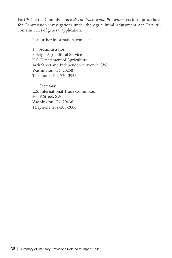Part 204 of the Commission's *Rules of Practice and Procedure* sets forth procedures for Commission investigations under the Agricultural Adjustment Act. Part 201 contains rules of general application.

For further information, contact:

1. Administrator Foreign Agricultural Service U.S. Department of Agriculture 14th Street and Independence Avenue, SW Washington, DC 20250 Telephone: 202-720-3935

2. Secretary U.S. International Trade Commission 500 E Street, SW Washington, DC 20436 Telephone: 202-205-2000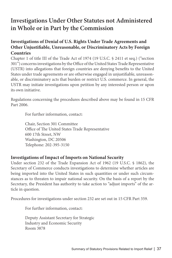## **Investigations Under Other Statutes not Administered in Whole or in Part by the Commission**

#### **Investigations of Denial of U.S. Rights Under Trade Agreements and Other Unjustifiable, Unreasonable, or Discriminatory Acts by Foreign Countries**

Chapter 1 of title III of the Trade Act of 1974 (19 U.S.C. § 2411 et seq.) ("section 301") concerns investigations by the Office of the United States Trade Representative (USTR) into allegations that foreign countries are denying benefits to the United States under trade agreements or are otherwise engaged in unjustifiable, unreasonable, or discriminatory acts that burden or restrict U.S. commerce. In general, the USTR may initiate investigations upon petition by any interested person or upon its own initiative.

Regulations concerning the procedures described above may be found in 15 CFR Part 2006.

For further information, contact:

Chair, Section 301 Committee Office of The United States Trade Representative 600 17th Street, NW Washington, DC 20506 Telephone: 202-395-3150

#### **Investigations of Impact of Imports on National Security**

Under section 232 of the Trade Expansion Act of 1962 (19 U.S.C. § 1862), the Secretary of Commerce conducts investigations to determine whether articles are being imported into the United States in such quantities or under such circumstances as to threaten to impair national security. On the basis of a report by the Secretary, the President has authority to take action to "adjust imports" of the article in question.

Procedures for investigations under section 232 are set out in 15 CFR Part 359.

For further information, contact:

Deputy Assistant Secretary for Strategic Industry and Economic Security Room 3878